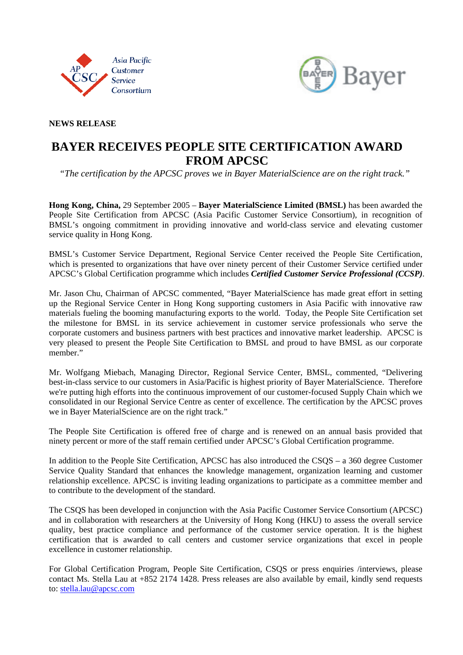



### **NEWS RELEASE**

# **BAYER RECEIVES PEOPLE SITE CERTIFICATION AWARD FROM APCSC**

*"The certification by the APCSC proves we in Bayer MaterialScience are on the right track."* 

**Hong Kong, China,** 29 September 2005 – **Bayer MaterialScience Limited (BMSL)** has been awarded the People Site Certification from APCSC (Asia Pacific Customer Service Consortium), in recognition of BMSL's ongoing commitment in providing innovative and world-class service and elevating customer service quality in Hong Kong.

BMSL's Customer Service Department, Regional Service Center received the People Site Certification, which is presented to organizations that have over ninety percent of their Customer Service certified under APCSC's Global Certification programme which includes *Certified Customer Service Professional (CCSP)*.

Mr. Jason Chu, Chairman of APCSC commented, "Bayer MaterialScience has made great effort in setting up the Regional Service Center in Hong Kong supporting customers in Asia Pacific with innovative raw materials fueling the booming manufacturing exports to the world. Today, the People Site Certification set the milestone for BMSL in its service achievement in customer service professionals who serve the corporate customers and business partners with best practices and innovative market leadership. APCSC is very pleased to present the People Site Certification to BMSL and proud to have BMSL as our corporate member."

Mr. Wolfgang Miebach, Managing Director, Regional Service Center, BMSL, commented, "Delivering best-in-class service to our customers in Asia/Pacific is highest priority of Bayer MaterialScience. Therefore we're putting high efforts into the continuous improvement of our customer-focused Supply Chain which we consolidated in our Regional Service Centre as center of excellence. The certification by the APCSC proves we in Bayer MaterialScience are on the right track."

The People Site Certification is offered free of charge and is renewed on an annual basis provided that ninety percent or more of the staff remain certified under APCSC's Global Certification programme.

In addition to the People Site Certification, APCSC has also introduced the CSQS – a 360 degree Customer Service Quality Standard that enhances the knowledge management, organization learning and customer relationship excellence. APCSC is inviting leading organizations to participate as a committee member and to contribute to the development of the standard.

The CSQS has been developed in conjunction with the Asia Pacific Customer Service Consortium (APCSC) and in collaboration with researchers at the University of Hong Kong (HKU) to assess the overall service quality, best practice compliance and performance of the customer service operation. It is the highest certification that is awarded to call centers and customer service organizations that excel in people excellence in customer relationship.

For Global Certification Program, People Site Certification, CSQS or press enquiries /interviews, please contact Ms. Stella Lau at +852 2174 1428. Press releases are also available by email, kindly send requests to: stella.lau@apcsc.com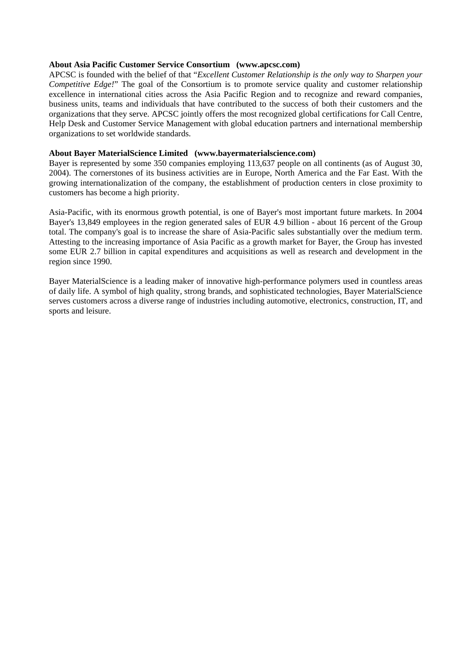#### **About Asia Pacific Customer Service Consortium (www.apcsc.com)**

APCSC is founded with the belief of that "*Excellent Customer Relationship is the only way to Sharpen your Competitive Edge!*" The goal of the Consortium is to promote service quality and customer relationship excellence in international cities across the Asia Pacific Region and to recognize and reward companies, business units, teams and individuals that have contributed to the success of both their customers and the organizations that they serve. APCSC jointly offers the most recognized global certifications for Call Centre, Help Desk and Customer Service Management with global education partners and international membership organizations to set worldwide standards.

### **About Bayer MaterialScience Limited (www.bayermaterialscience.com)**

Bayer is represented by some 350 companies employing 113,637 people on all continents (as of August 30, 2004). The cornerstones of its business activities are in Europe, North America and the Far East. With the growing internationalization of the company, the establishment of production centers in close proximity to customers has become a high priority.

Asia-Pacific, with its enormous growth potential, is one of Bayer's most important future markets. In 2004 Bayer's 13,849 employees in the region generated sales of EUR 4.9 billion - about 16 percent of the Group total. The company's goal is to increase the share of Asia-Pacific sales substantially over the medium term. Attesting to the increasing importance of Asia Pacific as a growth market for Bayer, the Group has invested some EUR 2.7 billion in capital expenditures and acquisitions as well as research and development in the region since 1990.

Bayer MaterialScience is a leading maker of innovative high-performance polymers used in countless areas of daily life. A symbol of high quality, strong brands, and sophisticated technologies, Bayer MaterialScience serves customers across a diverse range of industries including automotive, electronics, construction, IT, and sports and leisure.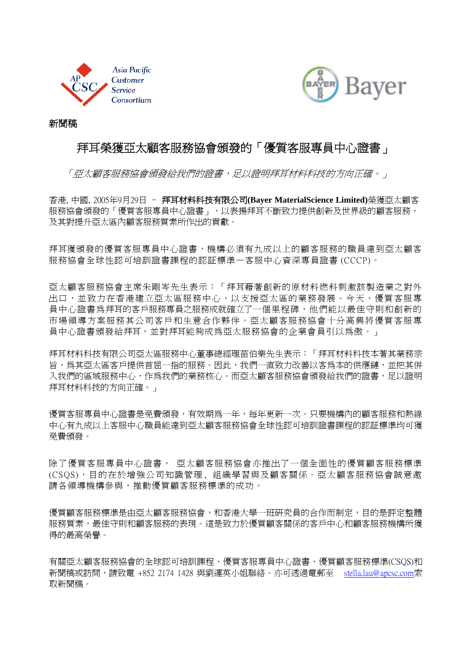



新聞稿

## 拜耳榮獲亞太顧客服務協會頒發的「優質客服專員中心證書」

「亞太顧客服務協會頒發給我們的證書,足以證明拜耳材料科技的方向正確。」

香港, 中國, 2005年9月29日 – 拜耳材料科技有限公司**(Bayer MaterialScience Limited)**榮獲亞太顧客 服務協會頒發的「優質客服專員中心證書」,以表揚拜耳不斷致力提供創新及世界級的顧客服務, 及其對提升亞太區內顧客服務質素所作出的貢獻。

拜耳獲頒發的優質客服專員中心證書,機構必須有九成以上的顧客服務的職員達到亞太顧客 服務協會全球性認可培訓證書課程的認証標準—客服中心資深專員證書 (CCCP)。

亞太顧客服務協會主席朱剛岑先生表示:「拜耳藉著創新的原材料燃料刺激該製造業之對外 出口,並致力在香港建立亞太區服務中心,以支援亞太區的業務發展。今天,優質客服專 員中心證書為拜耳的客戶服務專員之服務成就確立了一個里程碑,他們能以最佳守則和創新的 市場領導方案服務其公司客戶和生意合作夥伴。亞太顧客服務協會十分高興將優質客服專 員中心證書頒發給拜耳,並對拜耳能夠成為亞太服務協會的企業會員引以為傲。」

拜耳材料科技有限公司亞太區服務中心董事總經理苗伯樂先生表示︰「拜耳材料科技本著其業務宗 旨,為其亞太區客戶提供首屈一指的服務。因此,我們一直致力改善以客為本的供應鏈,並把其併 入我們的區域服務中心,作為我們的業務核心。而亞太顧客服務協會頒發給我們的證書,足以證明 拜耳材料科技的方向正確。」

優質客服專員中心證書是免費頒發,有效期為一年,每年更新一次。只要機構內的顧客服務和熱線 中心有九成以上客服中心職員能達到亞太顧客服務協會全球性認可培訓證書課程的認証標準均可獲 免費頒發。

除了優質客服專員中心證書, 亞太顧客服務協會亦推出了一個全面性的優質顧客服務標準 (CSQS),目的在於增強公司知識管理、組織學習與及顧客關係。亞太顧客服務協會誠意邀 請各領導機構參與,推動優質顧客服務標準的成功。

優質顧客服務標準身,和電港大學一班研究員的合作而制定,目的是評定整體 服務質素,最佳守則和顧客服務的表現。這是致力於優質顧客關係的客戶中心和顧客服務機構所獲 得的最高榮譽。

有關亞太顧客服務協會的全球認可培訓課程、優質客服專員中心證書、優質顧客服務標準(CSQS)和 新聞稿或訪問,請致電 +852 2174 1428 與劉運英小姐聯絡。亦可透過電郵至 stella.lau@apcsc.com索 取新聞稿。